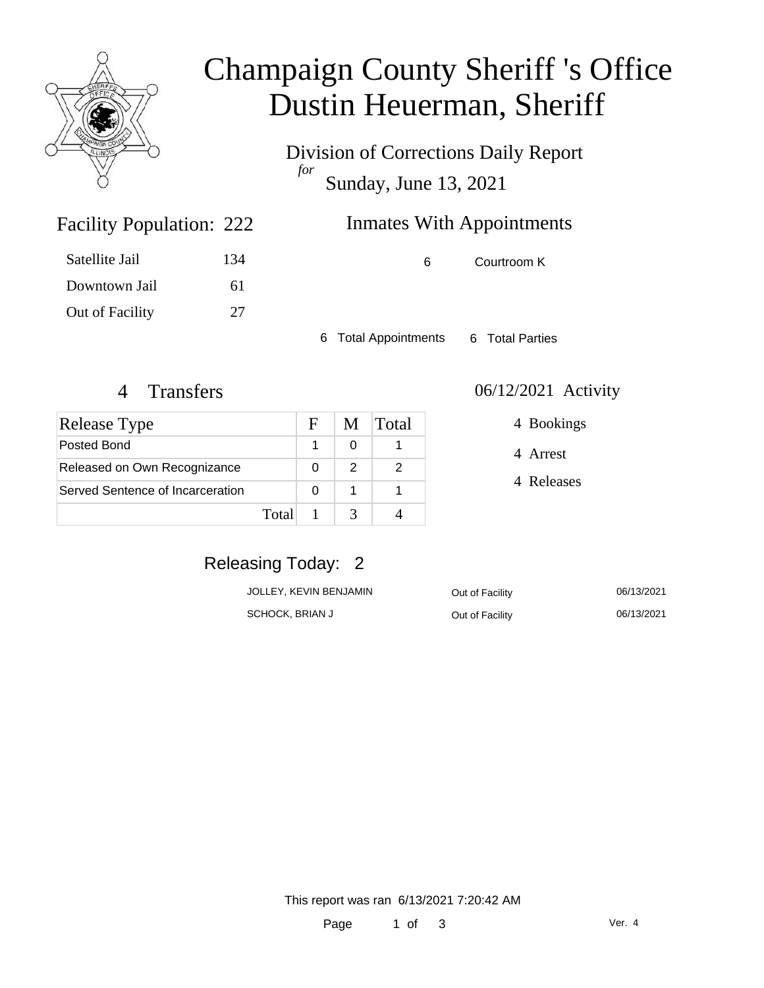

# Champaign County Sheriff 's Office Dustin Heuerman, Sheriff

Division of Corrections Daily Report *for* Sunday, June 13, 2021

## Inmates With Appointments

Facility Population: 222

| Satellite Jail  | 134 |
|-----------------|-----|
| Downtown Jail   | 61  |
| Out of Facility | 27  |

6 Courtroom K

6 Total Appointments 6 Total Parties

| Release Type                     |       | F | M | Total |
|----------------------------------|-------|---|---|-------|
| Posted Bond                      |       |   |   |       |
| Released on Own Recognizance     |       | O | 2 |       |
| Served Sentence of Incarceration |       | O |   |       |
|                                  | Total |   |   |       |

#### 4 Transfers 06/12/2021 Activity

4 Bookings

4 Arrest

4 Releases

### Releasing Today: 2

| JOLLEY, KEVIN BENJAMIN | Out of Facility | 06/13/2021 |
|------------------------|-----------------|------------|
| SCHOCK, BRIAN J        | Out of Facility | 06/13/2021 |

This report was ran 6/13/2021 7:20:42 AM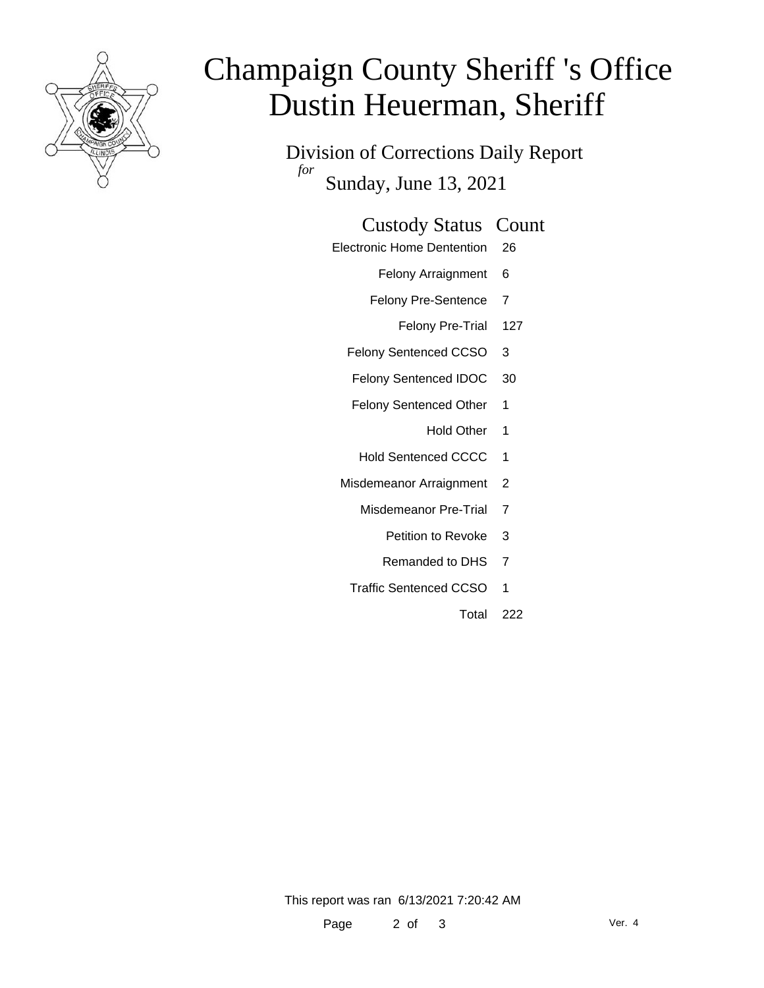

# Champaign County Sheriff 's Office Dustin Heuerman, Sheriff

Division of Corrections Daily Report *for* Sunday, June 13, 2021

#### Custody Status Count

- Electronic Home Dentention 26
	- Felony Arraignment 6
	- Felony Pre-Sentence 7
		- Felony Pre-Trial 127
	- Felony Sentenced CCSO 3
	- Felony Sentenced IDOC 30
	- Felony Sentenced Other 1
		- Hold Other 1
	- Hold Sentenced CCCC 1
	- Misdemeanor Arraignment 2
		- Misdemeanor Pre-Trial 7
			- Petition to Revoke 3
			- Remanded to DHS 7
		- Traffic Sentenced CCSO 1
			- Total 222

This report was ran 6/13/2021 7:20:42 AM